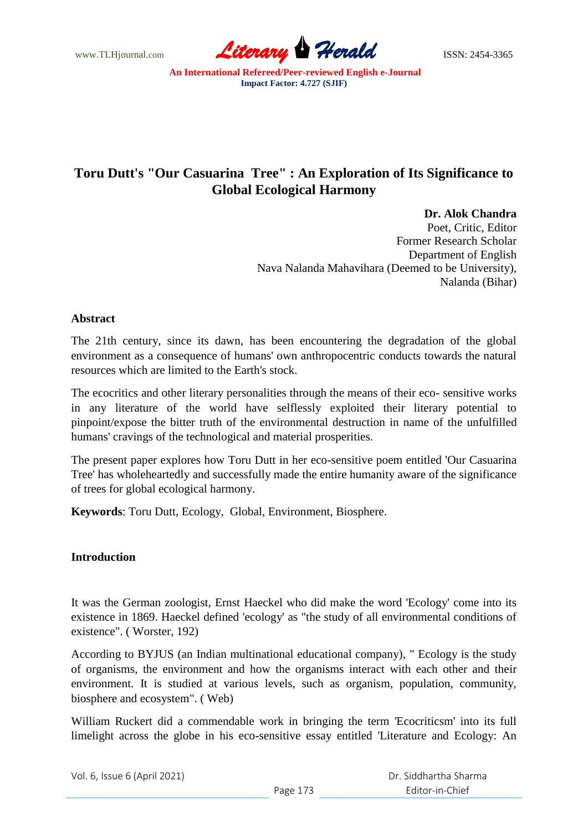www.TLHjournal.com **Literary Herald Herald** ISSN: 2454-3365

# **Toru Dutt's "Our Casuarina Tree" : An Exploration of Its Significance to Global Ecological Harmony**

**Dr. Alok Chandra**

Poet, Critic, Editor Former Research Scholar Department of English Nava Nalanda Mahavihara (Deemed to be University), Nalanda (Bihar)

### **Abstract**

The 21th century, since its dawn, has been encountering the degradation of the global environment as a consequence of humans' own anthropocentric conducts towards the natural resources which are limited to the Earth's stock.

The ecocritics and other literary personalities through the means of their eco- sensitive works in any literature of the world have selflessly exploited their literary potential to pinpoint/expose the bitter truth of the environmental destruction in name of the unfulfilled humans' cravings of the technological and material prosperities.

The present paper explores how Toru Dutt in her eco-sensitive poem entitled 'Our Casuarina Tree' has wholeheartedly and successfully made the entire humanity aware of the significance of trees for global ecological harmony.

**Keywords**: Toru Dutt, Ecology, Global, Environment, Biosphere.

#### **Introduction**

It was the German zoologist, Ernst Haeckel who did make the word 'Ecology' come into its existence in 1869. Haeckel defined 'ecology' as "the study of all environmental conditions of existence". ( Worster, 192)

According to BYJUS (an Indian multinational educational company), " Ecology is the study of organisms, the environment and how the organisms interact with each other and their environment. It is studied at various levels, such as organism, population, community, biosphere and ecosystem". ( Web)

William Ruckert did a commendable work in bringing the term 'Ecocriticsm' into its full limelight across the globe in his eco-sensitive essay entitled 'Literature and Ecology: An

Vol. 6, Issue 6 (April 2021)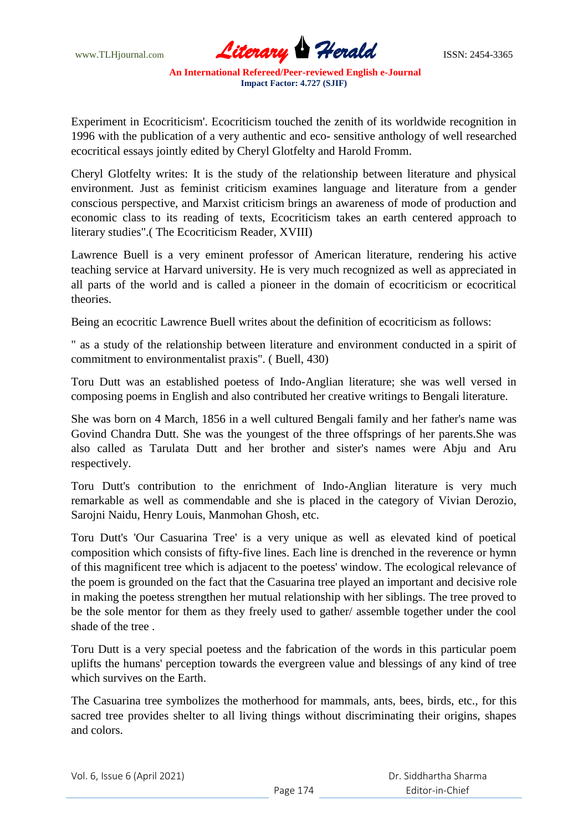

Experiment in Ecocriticism'. Ecocriticism touched the zenith of its worldwide recognition in 1996 with the publication of a very authentic and eco- sensitive anthology of well researched ecocritical essays jointly edited by Cheryl Glotfelty and Harold Fromm.

Cheryl Glotfelty writes: It is the study of the relationship between literature and physical environment. Just as feminist criticism examines language and literature from a gender conscious perspective, and Marxist criticism brings an awareness of mode of production and economic class to its reading of texts, Ecocriticism takes an earth centered approach to literary studies".( The Ecocriticism Reader, XVIII)

Lawrence Buell is a very eminent professor of American literature, rendering his active teaching service at Harvard university. He is very much recognized as well as appreciated in all parts of the world and is called a pioneer in the domain of ecocriticism or ecocritical theories.

Being an ecocritic Lawrence Buell writes about the definition of ecocriticism as follows:

" as a study of the relationship between literature and environment conducted in a spirit of commitment to environmentalist praxis". ( Buell, 430)

Toru Dutt was an established poetess of Indo-Anglian literature; she was well versed in composing poems in English and also contributed her creative writings to Bengali literature.

She was born on 4 March, 1856 in a well cultured Bengali family and her father's name was Govind Chandra Dutt. She was the youngest of the three offsprings of her parents.She was also called as Tarulata Dutt and her brother and sister's names were Abju and Aru respectively.

Toru Dutt's contribution to the enrichment of Indo-Anglian literature is very much remarkable as well as commendable and she is placed in the category of Vivian Derozio, Sarojni Naidu, Henry Louis, Manmohan Ghosh, etc.

Toru Dutt's 'Our Casuarina Tree' is a very unique as well as elevated kind of poetical composition which consists of fifty-five lines. Each line is drenched in the reverence or hymn of this magnificent tree which is adjacent to the poetess' window. The ecological relevance of the poem is grounded on the fact that the Casuarina tree played an important and decisive role in making the poetess strengthen her mutual relationship with her siblings. The tree proved to be the sole mentor for them as they freely used to gather/ assemble together under the cool shade of the tree .

Toru Dutt is a very special poetess and the fabrication of the words in this particular poem uplifts the humans' perception towards the evergreen value and blessings of any kind of tree which survives on the Earth.

The Casuarina tree symbolizes the motherhood for mammals, ants, bees, birds, etc., for this sacred tree provides shelter to all living things without discriminating their origins, shapes and colors.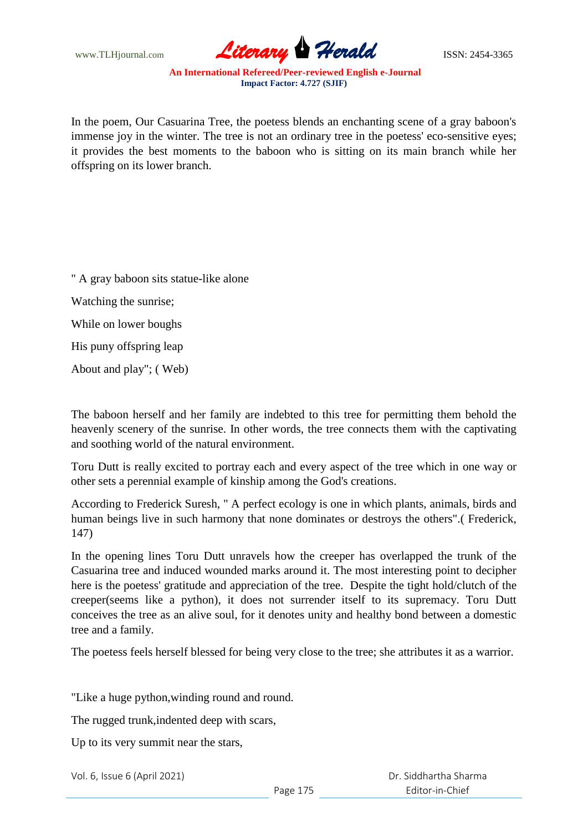

In the poem, Our Casuarina Tree, the poetess blends an enchanting scene of a gray baboon's immense joy in the winter. The tree is not an ordinary tree in the poetess' eco-sensitive eyes; it provides the best moments to the baboon who is sitting on its main branch while her offspring on its lower branch.

" A gray baboon sits statue-like alone Watching the sunrise; While on lower boughs His puny offspring leap About and play"; ( Web)

The baboon herself and her family are indebted to this tree for permitting them behold the heavenly scenery of the sunrise. In other words, the tree connects them with the captivating and soothing world of the natural environment.

Toru Dutt is really excited to portray each and every aspect of the tree which in one way or other sets a perennial example of kinship among the God's creations.

According to Frederick Suresh, " A perfect ecology is one in which plants, animals, birds and human beings live in such harmony that none dominates or destroys the others".( Frederick, 147)

In the opening lines Toru Dutt unravels how the creeper has overlapped the trunk of the Casuarina tree and induced wounded marks around it. The most interesting point to decipher here is the poetess' gratitude and appreciation of the tree. Despite the tight hold/clutch of the creeper(seems like a python), it does not surrender itself to its supremacy. Toru Dutt conceives the tree as an alive soul, for it denotes unity and healthy bond between a domestic tree and a family.

The poetess feels herself blessed for being very close to the tree; she attributes it as a warrior.

"Like a huge python,winding round and round.

The rugged trunk,indented deep with scars,

Up to its very summit near the stars,

Vol. 6, Issue 6 (April 2021)

 Dr. Siddhartha Sharma Editor-in-Chief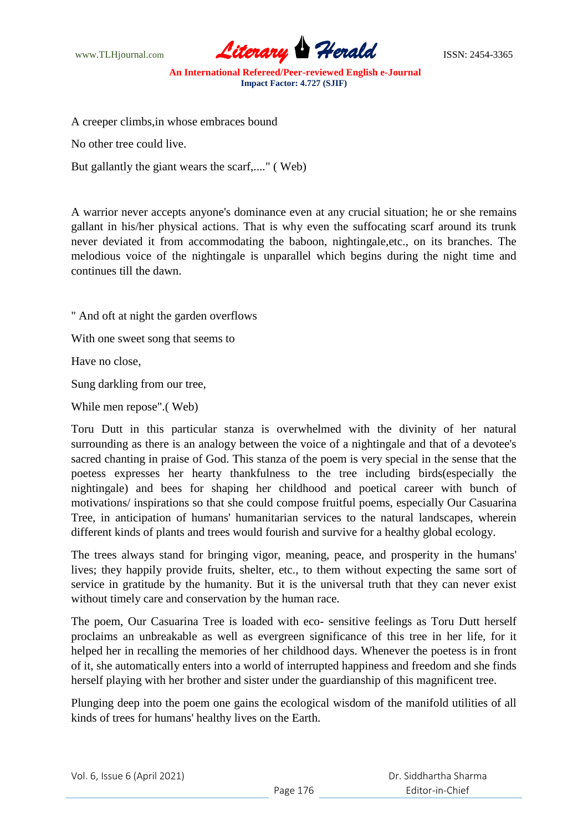www.TLHjournal.com **Literary Herald Herald** ISSN: 2454-3365

A creeper climbs,in whose embraces bound

No other tree could live.

But gallantly the giant wears the scarf,...." ( Web)

A warrior never accepts anyone's dominance even at any crucial situation; he or she remains gallant in his/her physical actions. That is why even the suffocating scarf around its trunk never deviated it from accommodating the baboon, nightingale,etc., on its branches. The melodious voice of the nightingale is unparallel which begins during the night time and continues till the dawn.

" And oft at night the garden overflows

With one sweet song that seems to

Have no close,

Sung darkling from our tree,

While men repose".( Web)

Toru Dutt in this particular stanza is overwhelmed with the divinity of her natural surrounding as there is an analogy between the voice of a nightingale and that of a devotee's sacred chanting in praise of God. This stanza of the poem is very special in the sense that the poetess expresses her hearty thankfulness to the tree including birds(especially the nightingale) and bees for shaping her childhood and poetical career with bunch of motivations/ inspirations so that she could compose fruitful poems, especially Our Casuarina Tree, in anticipation of humans' humanitarian services to the natural landscapes, wherein different kinds of plants and trees would fourish and survive for a healthy global ecology.

The trees always stand for bringing vigor, meaning, peace, and prosperity in the humans' lives; they happily provide fruits, shelter, etc., to them without expecting the same sort of service in gratitude by the humanity. But it is the universal truth that they can never exist without timely care and conservation by the human race.

The poem, Our Casuarina Tree is loaded with eco- sensitive feelings as Toru Dutt herself proclaims an unbreakable as well as evergreen significance of this tree in her life, for it helped her in recalling the memories of her childhood days. Whenever the poetess is in front of it, she automatically enters into a world of interrupted happiness and freedom and she finds herself playing with her brother and sister under the guardianship of this magnificent tree.

Plunging deep into the poem one gains the ecological wisdom of the manifold utilities of all kinds of trees for humans' healthy lives on the Earth.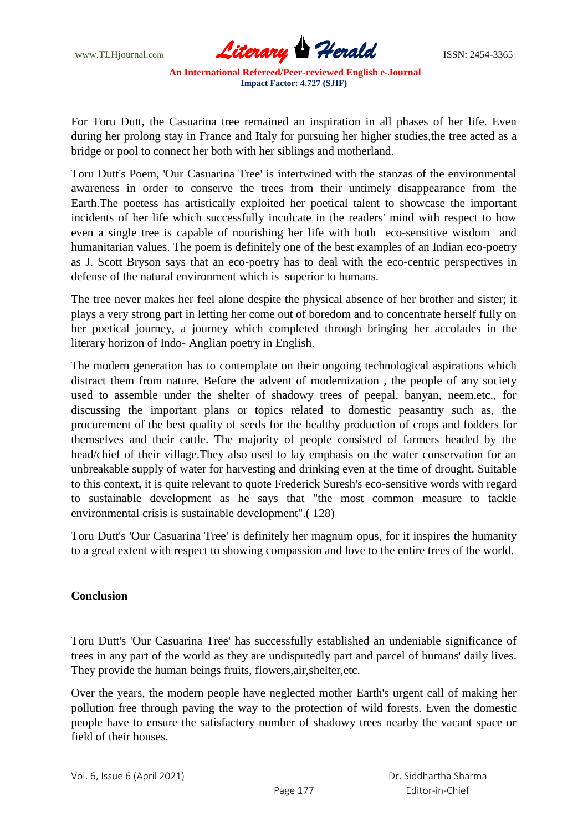

For Toru Dutt, the Casuarina tree remained an inspiration in all phases of her life. Even during her prolong stay in France and Italy for pursuing her higher studies,the tree acted as a bridge or pool to connect her both with her siblings and motherland.

Toru Dutt's Poem, 'Our Casuarina Tree' is intertwined with the stanzas of the environmental awareness in order to conserve the trees from their untimely disappearance from the Earth.The poetess has artistically exploited her poetical talent to showcase the important incidents of her life which successfully inculcate in the readers' mind with respect to how even a single tree is capable of nourishing her life with both eco-sensitive wisdom and humanitarian values. The poem is definitely one of the best examples of an Indian eco-poetry as J. Scott Bryson says that an eco-poetry has to deal with the eco-centric perspectives in defense of the natural environment which is superior to humans.

The tree never makes her feel alone despite the physical absence of her brother and sister; it plays a very strong part in letting her come out of boredom and to concentrate herself fully on her poetical journey, a journey which completed through bringing her accolades in the literary horizon of Indo- Anglian poetry in English.

The modern generation has to contemplate on their ongoing technological aspirations which distract them from nature. Before the advent of modernization , the people of any society used to assemble under the shelter of shadowy trees of peepal, banyan, neem,etc., for discussing the important plans or topics related to domestic peasantry such as, the procurement of the best quality of seeds for the healthy production of crops and fodders for themselves and their cattle. The majority of people consisted of farmers headed by the head/chief of their village.They also used to lay emphasis on the water conservation for an unbreakable supply of water for harvesting and drinking even at the time of drought. Suitable to this context, it is quite relevant to quote Frederick Suresh's eco-sensitive words with regard to sustainable development as he says that "the most common measure to tackle environmental crisis is sustainable development".( 128)

Toru Dutt's 'Our Casuarina Tree' is definitely her magnum opus, for it inspires the humanity to a great extent with respect to showing compassion and love to the entire trees of the world.

#### **Conclusion**

Toru Dutt's 'Our Casuarina Tree' has successfully established an undeniable significance of trees in any part of the world as they are undisputedly part and parcel of humans' daily lives. They provide the human beings fruits, flowers,air,shelter,etc.

Over the years, the modern people have neglected mother Earth's urgent call of making her pollution free through paving the way to the protection of wild forests. Even the domestic people have to ensure the satisfactory number of shadowy trees nearby the vacant space or field of their houses.